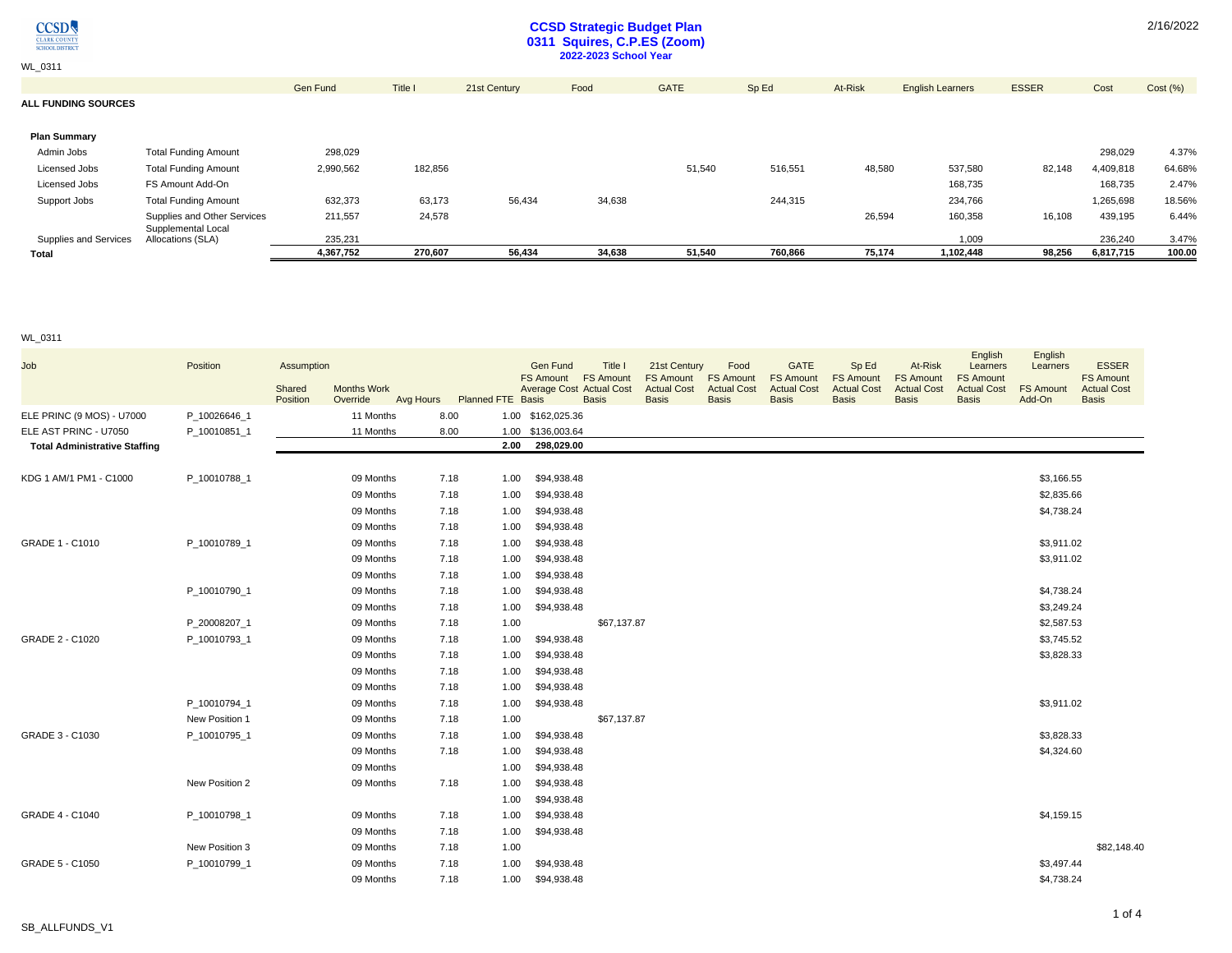

WL\_0311

### **CCSD Strategic Budget Plan 0311 Squires, C.P.ES (Zoom) 2022-2023 School Year**

Gen Fund Title I 21st Century Food GATE Sp Ed At-Risk English Learners ESSER Cost Cost (%) **ALL FUNDING SOURCES Plan Summary** Admin Jobs Total Funding Amount 298,029 298,029 4.37% Licensed Jobs Total Funding Amount 2,990,562 182,856 51,540 516,551 48,580 537,580 82,148 4,409,818 64.68% Licensed Jobs FS Amount Add-On 168,735 168,735 2.47% Support Jobs Total Funding Amount 632,373 63,173 56,434 34,638 244,315 234,766 1,265,698 18.56% Supplies and Other Services 211,557 24,578 26,594 160,358 16,108 439,195 6.44% Supplies and Services Supplemental Local<br>Allocations (SLA) Allocations (SLA) 235,231 1,009 236,240 3.47% **Total 4,367,752 270,607 56,434 34,638 51,540 760,866 75,174 1,102,448 98,256 6,817,715 100.00**

#### WL\_0311

| Job                                  | Position       | Assumption<br>Shared<br>Position | <b>Months Work</b><br>Override |      | Avg Hours Planned FTE Basis | <b>Gen Fund</b><br><b>FS Amount</b><br><b>Average Cost Actual Cost</b> | Title I<br><b>FS Amount</b><br><b>Basis</b> | 21st Century<br><b>FS Amount</b><br><b>Actual Cost</b><br><b>Basis</b> | Food<br><b>FS Amount</b><br><b>Actual Cost</b><br><b>Basis</b> | <b>GATE</b><br><b>FS Amount</b><br><b>Actual Cost</b><br><b>Basis</b> | Sp Ed<br><b>FS Amount</b><br><b>Actual Cost</b><br><b>Basis</b> | At-Risk<br><b>FS Amount</b><br><b>Actual Cost</b><br><b>Basis</b> | English<br>Learners<br><b>FS Amount</b><br><b>Actual Cost</b><br><b>Basis</b> | English<br>Learners<br><b>FS Amount</b><br>Add-On | <b>ESSER</b><br><b>FS Amount</b><br><b>Actual Cost</b><br><b>Basis</b> |
|--------------------------------------|----------------|----------------------------------|--------------------------------|------|-----------------------------|------------------------------------------------------------------------|---------------------------------------------|------------------------------------------------------------------------|----------------------------------------------------------------|-----------------------------------------------------------------------|-----------------------------------------------------------------|-------------------------------------------------------------------|-------------------------------------------------------------------------------|---------------------------------------------------|------------------------------------------------------------------------|
| ELE PRINC (9 MOS) - U7000            | P_10026646_1   |                                  | 11 Months                      | 8.00 |                             | 1.00 \$162,025.36                                                      |                                             |                                                                        |                                                                |                                                                       |                                                                 |                                                                   |                                                                               |                                                   |                                                                        |
| ELE AST PRINC - U7050                | P_10010851_1   |                                  | 11 Months                      | 8.00 |                             | 1.00 \$136,003.64                                                      |                                             |                                                                        |                                                                |                                                                       |                                                                 |                                                                   |                                                                               |                                                   |                                                                        |
| <b>Total Administrative Staffing</b> |                |                                  |                                |      | 2.00                        | 298,029.00                                                             |                                             |                                                                        |                                                                |                                                                       |                                                                 |                                                                   |                                                                               |                                                   |                                                                        |
|                                      |                |                                  |                                |      |                             |                                                                        |                                             |                                                                        |                                                                |                                                                       |                                                                 |                                                                   |                                                                               |                                                   |                                                                        |
| KDG 1 AM/1 PM1 - C1000               | P_10010788_1   |                                  | 09 Months                      | 7.18 | 1.00                        | \$94,938.48                                                            |                                             |                                                                        |                                                                |                                                                       |                                                                 |                                                                   |                                                                               | \$3,166.55                                        |                                                                        |
|                                      |                |                                  | 09 Months                      | 7.18 | 1.00                        | \$94,938.48                                                            |                                             |                                                                        |                                                                |                                                                       |                                                                 |                                                                   |                                                                               | \$2,835.66                                        |                                                                        |
|                                      |                |                                  | 09 Months                      | 7.18 | 1.00                        | \$94,938.48                                                            |                                             |                                                                        |                                                                |                                                                       |                                                                 |                                                                   |                                                                               | \$4,738.24                                        |                                                                        |
|                                      |                |                                  | 09 Months                      | 7.18 | 1.00                        | \$94,938.48                                                            |                                             |                                                                        |                                                                |                                                                       |                                                                 |                                                                   |                                                                               |                                                   |                                                                        |
| GRADE 1 - C1010                      | P 10010789 1   |                                  | 09 Months                      | 7.18 | 1.00                        | \$94,938.48                                                            |                                             |                                                                        |                                                                |                                                                       |                                                                 |                                                                   |                                                                               | \$3,911.02                                        |                                                                        |
|                                      |                |                                  | 09 Months                      | 7.18 | 1.00                        | \$94,938.48                                                            |                                             |                                                                        |                                                                |                                                                       |                                                                 |                                                                   |                                                                               | \$3,911.02                                        |                                                                        |
|                                      |                |                                  | 09 Months                      | 7.18 | 1.00                        | \$94,938.48                                                            |                                             |                                                                        |                                                                |                                                                       |                                                                 |                                                                   |                                                                               |                                                   |                                                                        |
|                                      | P 10010790 1   |                                  | 09 Months                      | 7.18 | 1.00                        | \$94,938.48                                                            |                                             |                                                                        |                                                                |                                                                       |                                                                 |                                                                   |                                                                               | \$4,738.24                                        |                                                                        |
|                                      |                |                                  | 09 Months                      | 7.18 | 1.00                        | \$94,938.48                                                            |                                             |                                                                        |                                                                |                                                                       |                                                                 |                                                                   |                                                                               | \$3,249.24                                        |                                                                        |
|                                      | P_20008207_1   |                                  | 09 Months                      | 7.18 | 1.00                        |                                                                        | \$67,137.87                                 |                                                                        |                                                                |                                                                       |                                                                 |                                                                   |                                                                               | \$2,587.53                                        |                                                                        |
| GRADE 2 - C1020                      | P 10010793 1   |                                  | 09 Months                      | 7.18 | 1.00                        | \$94,938.48                                                            |                                             |                                                                        |                                                                |                                                                       |                                                                 |                                                                   |                                                                               | \$3,745.52                                        |                                                                        |
|                                      |                |                                  | 09 Months                      | 7.18 | 1.00                        | \$94,938.48                                                            |                                             |                                                                        |                                                                |                                                                       |                                                                 |                                                                   |                                                                               | \$3,828.33                                        |                                                                        |
|                                      |                |                                  | 09 Months                      | 7.18 | 1.00                        | \$94,938.48                                                            |                                             |                                                                        |                                                                |                                                                       |                                                                 |                                                                   |                                                                               |                                                   |                                                                        |
|                                      |                |                                  | 09 Months                      | 7.18 | 1.00                        | \$94,938.48                                                            |                                             |                                                                        |                                                                |                                                                       |                                                                 |                                                                   |                                                                               |                                                   |                                                                        |
|                                      | P_10010794_1   |                                  | 09 Months                      | 7.18 | 1.00                        | \$94,938.48                                                            |                                             |                                                                        |                                                                |                                                                       |                                                                 |                                                                   |                                                                               | \$3,911.02                                        |                                                                        |
|                                      | New Position 1 |                                  | 09 Months                      | 7.18 | 1.00                        |                                                                        | \$67,137.87                                 |                                                                        |                                                                |                                                                       |                                                                 |                                                                   |                                                                               |                                                   |                                                                        |
| GRADE 3 - C1030                      | P 10010795 1   |                                  | 09 Months                      | 7.18 | 1.00                        | \$94,938.48                                                            |                                             |                                                                        |                                                                |                                                                       |                                                                 |                                                                   |                                                                               | \$3,828.33                                        |                                                                        |
|                                      |                |                                  | 09 Months                      | 7.18 | 1.00                        | \$94,938.48                                                            |                                             |                                                                        |                                                                |                                                                       |                                                                 |                                                                   |                                                                               | \$4,324.60                                        |                                                                        |
|                                      |                |                                  | 09 Months                      |      | 1.00                        | \$94,938.48                                                            |                                             |                                                                        |                                                                |                                                                       |                                                                 |                                                                   |                                                                               |                                                   |                                                                        |
|                                      | New Position 2 |                                  | 09 Months                      | 7.18 | 1.00                        | \$94,938.48                                                            |                                             |                                                                        |                                                                |                                                                       |                                                                 |                                                                   |                                                                               |                                                   |                                                                        |
|                                      |                |                                  |                                |      | 1.00                        | \$94,938.48                                                            |                                             |                                                                        |                                                                |                                                                       |                                                                 |                                                                   |                                                                               |                                                   |                                                                        |
| GRADE 4 - C1040                      | P_10010798_1   |                                  | 09 Months                      | 7.18 | 1.00                        | \$94,938.48                                                            |                                             |                                                                        |                                                                |                                                                       |                                                                 |                                                                   |                                                                               | \$4,159.15                                        |                                                                        |
|                                      |                |                                  | 09 Months                      | 7.18 | 1.00                        | \$94,938.48                                                            |                                             |                                                                        |                                                                |                                                                       |                                                                 |                                                                   |                                                                               |                                                   |                                                                        |
|                                      | New Position 3 |                                  | 09 Months                      | 7.18 | 1.00                        |                                                                        |                                             |                                                                        |                                                                |                                                                       |                                                                 |                                                                   |                                                                               |                                                   | \$82,148.40                                                            |
| GRADE 5 - C1050                      | P_10010799_1   |                                  | 09 Months                      | 7.18 | 1.00                        | \$94,938.48                                                            |                                             |                                                                        |                                                                |                                                                       |                                                                 |                                                                   |                                                                               | \$3,497.44                                        |                                                                        |
|                                      |                |                                  | 09 Months                      | 7.18 | 1.00                        | \$94,938.48                                                            |                                             |                                                                        |                                                                |                                                                       |                                                                 |                                                                   |                                                                               | \$4,738.24                                        |                                                                        |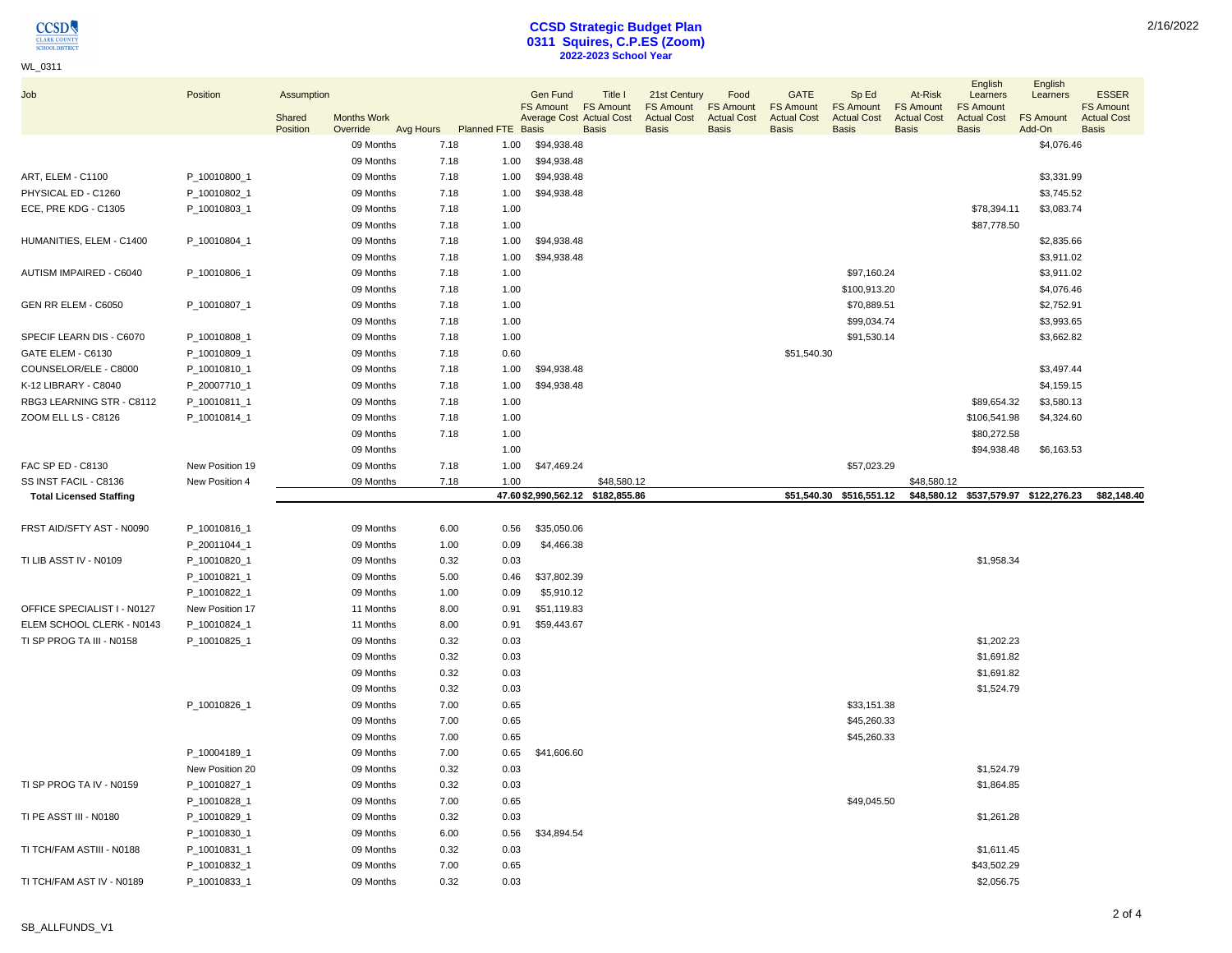### WL\_0311

# **CCSD Strategic Budget Plan 0311 Squires, C.P.ES (Zoom) 2022-2023 School Year**

| Job                            | Position        | Assumption<br>Shared | <b>Months Work</b>    |                                     |      | <b>Gen Fund</b><br>FS Amount FS Amount<br><b>Average Cost Actual Cost</b> | Title I      | 21st Century<br><b>FS Amount</b><br><b>Actual Cost</b> | Food<br><b>FS Amount</b><br><b>Actual Cost</b> | <b>GATE</b><br><b>FS Amount</b><br><b>Actual Cost</b> | Sp Ed<br><b>FS Amount</b><br><b>Actual Cost</b> | At-Risk<br><b>FS Amount</b><br><b>Actual Cost</b> | English<br>Learners<br><b>FS Amount</b><br><b>Actual Cost</b> | English<br>Learners<br><b>FS Amount</b> | <b>ESSER</b><br><b>FS Amount</b><br><b>Actual Cost</b> |
|--------------------------------|-----------------|----------------------|-----------------------|-------------------------------------|------|---------------------------------------------------------------------------|--------------|--------------------------------------------------------|------------------------------------------------|-------------------------------------------------------|-------------------------------------------------|---------------------------------------------------|---------------------------------------------------------------|-----------------------------------------|--------------------------------------------------------|
|                                |                 | Position             | Override<br>09 Months | Avg Hours Planned FTE Basis<br>7.18 | 1.00 | \$94,938.48                                                               | <b>Basis</b> | <b>Basis</b>                                           | <b>Basis</b>                                   | <b>Basis</b>                                          | <b>Basis</b>                                    | <b>Basis</b>                                      | <b>Basis</b>                                                  | Add-On<br>\$4,076.46                    | <b>Basis</b>                                           |
|                                |                 |                      | 09 Months             | 7.18                                | 1.00 | \$94,938.48                                                               |              |                                                        |                                                |                                                       |                                                 |                                                   |                                                               |                                         |                                                        |
| ART, ELEM - C1100              | P_10010800_1    |                      | 09 Months             | 7.18                                | 1.00 | \$94,938.48                                                               |              |                                                        |                                                |                                                       |                                                 |                                                   |                                                               | \$3,331.99                              |                                                        |
| PHYSICAL ED - C1260            | P_10010802_1    |                      | 09 Months             | 7.18                                | 1.00 | \$94,938.48                                                               |              |                                                        |                                                |                                                       |                                                 |                                                   |                                                               | \$3,745.52                              |                                                        |
| ECE, PRE KDG - C1305           | P_10010803_1    |                      | 09 Months             | 7.18                                | 1.00 |                                                                           |              |                                                        |                                                |                                                       |                                                 |                                                   | \$78,394.11                                                   | \$3,083.74                              |                                                        |
|                                |                 |                      | 09 Months             | 7.18                                | 1.00 |                                                                           |              |                                                        |                                                |                                                       |                                                 |                                                   | \$87,778.50                                                   |                                         |                                                        |
| HUMANITIES, ELEM - C1400       | P_10010804_1    |                      | 09 Months             | 7.18                                | 1.00 | \$94,938.48                                                               |              |                                                        |                                                |                                                       |                                                 |                                                   |                                                               | \$2,835.66                              |                                                        |
|                                |                 |                      | 09 Months             | 7.18                                | 1.00 | \$94,938.48                                                               |              |                                                        |                                                |                                                       |                                                 |                                                   |                                                               | \$3,911.02                              |                                                        |
| AUTISM IMPAIRED - C6040        | P_10010806_1    |                      | 09 Months             | 7.18                                | 1.00 |                                                                           |              |                                                        |                                                |                                                       | \$97,160.24                                     |                                                   |                                                               | \$3,911.02                              |                                                        |
|                                |                 |                      | 09 Months             | 7.18                                | 1.00 |                                                                           |              |                                                        |                                                |                                                       | \$100,913.20                                    |                                                   |                                                               | \$4,076.46                              |                                                        |
| GEN RR ELEM - C6050            | P_10010807_1    |                      | 09 Months             | 7.18                                | 1.00 |                                                                           |              |                                                        |                                                |                                                       | \$70,889.51                                     |                                                   |                                                               | \$2,752.91                              |                                                        |
|                                |                 |                      | 09 Months             | 7.18                                | 1.00 |                                                                           |              |                                                        |                                                |                                                       | \$99,034.74                                     |                                                   |                                                               | \$3,993.65                              |                                                        |
| SPECIF LEARN DIS - C6070       | P_10010808_1    |                      | 09 Months             | 7.18                                | 1.00 |                                                                           |              |                                                        |                                                |                                                       | \$91,530.14                                     |                                                   |                                                               | \$3,662.82                              |                                                        |
| GATE ELEM - C6130              | P_10010809_1    |                      | 09 Months             | 7.18                                | 0.60 |                                                                           |              |                                                        |                                                | \$51,540.30                                           |                                                 |                                                   |                                                               |                                         |                                                        |
| COUNSELOR/ELE - C8000          | P_10010810_1    |                      | 09 Months             | 7.18                                | 1.00 | \$94,938.48                                                               |              |                                                        |                                                |                                                       |                                                 |                                                   |                                                               | \$3,497.44                              |                                                        |
| K-12 LIBRARY - C8040           | P_20007710_1    |                      | 09 Months             | 7.18                                | 1.00 | \$94,938.48                                                               |              |                                                        |                                                |                                                       |                                                 |                                                   |                                                               | \$4,159.15                              |                                                        |
| RBG3 LEARNING STR - C8112      | P_10010811_1    |                      | 09 Months             | 7.18                                | 1.00 |                                                                           |              |                                                        |                                                |                                                       |                                                 |                                                   | \$89,654.32                                                   | \$3,580.13                              |                                                        |
| ZOOM ELL LS - C8126            | P_10010814_1    |                      | 09 Months             | 7.18                                | 1.00 |                                                                           |              |                                                        |                                                |                                                       |                                                 |                                                   | \$106,541.98                                                  | \$4,324.60                              |                                                        |
|                                |                 |                      | 09 Months             | 7.18                                | 1.00 |                                                                           |              |                                                        |                                                |                                                       |                                                 |                                                   | \$80,272.58                                                   |                                         |                                                        |
|                                |                 |                      | 09 Months             |                                     | 1.00 |                                                                           |              |                                                        |                                                |                                                       |                                                 |                                                   | \$94,938.48                                                   | \$6,163.53                              |                                                        |
| FAC SP ED - C8130              | New Position 19 |                      | 09 Months             | 7.18                                | 1.00 | \$47,469.24                                                               |              |                                                        |                                                |                                                       | \$57,023.29                                     |                                                   |                                                               |                                         |                                                        |
| SS INST FACIL - C8136          | New Position 4  |                      | 09 Months             | 7.18                                | 1.00 |                                                                           | \$48,580.12  |                                                        |                                                |                                                       |                                                 | \$48,580.12                                       |                                                               |                                         |                                                        |
| <b>Total Licensed Staffing</b> |                 |                      |                       |                                     |      | 47.60 \$2,990,562.12 \$182,855.86                                         |              |                                                        |                                                |                                                       | \$51,540.30 \$516,551.12                        |                                                   | \$48,580.12 \$537,579.97 \$122,276.23                         |                                         | \$82,148.40                                            |
|                                |                 |                      |                       |                                     |      |                                                                           |              |                                                        |                                                |                                                       |                                                 |                                                   |                                                               |                                         |                                                        |
| FRST AID/SFTY AST - N0090      | P_10010816_1    |                      | 09 Months             | 6.00                                | 0.56 | \$35,050.06                                                               |              |                                                        |                                                |                                                       |                                                 |                                                   |                                                               |                                         |                                                        |
|                                | P_20011044_1    |                      | 09 Months             | 1.00                                | 0.09 | \$4,466.38                                                                |              |                                                        |                                                |                                                       |                                                 |                                                   |                                                               |                                         |                                                        |
| TI LIB ASST IV - N0109         | P_10010820_1    |                      |                       |                                     |      |                                                                           |              |                                                        |                                                |                                                       |                                                 |                                                   |                                                               |                                         |                                                        |
|                                |                 |                      | 09 Months             | 0.32                                | 0.03 |                                                                           |              |                                                        |                                                |                                                       |                                                 |                                                   | \$1,958.34                                                    |                                         |                                                        |
|                                | P_10010821_1    |                      | 09 Months             | 5.00                                | 0.46 | \$37,802.39                                                               |              |                                                        |                                                |                                                       |                                                 |                                                   |                                                               |                                         |                                                        |
|                                | P_10010822_1    |                      | 09 Months             | 1.00                                | 0.09 | \$5,910.12                                                                |              |                                                        |                                                |                                                       |                                                 |                                                   |                                                               |                                         |                                                        |
| OFFICE SPECIALIST I - N0127    | New Position 17 |                      | 11 Months             | 8.00                                | 0.91 | \$51,119.83                                                               |              |                                                        |                                                |                                                       |                                                 |                                                   |                                                               |                                         |                                                        |
| ELEM SCHOOL CLERK - N0143      | P_10010824_1    |                      | 11 Months             | 8.00                                | 0.91 | \$59,443.67                                                               |              |                                                        |                                                |                                                       |                                                 |                                                   |                                                               |                                         |                                                        |
| TI SP PROG TA III - N0158      | P_10010825_1    |                      | 09 Months             | 0.32                                | 0.03 |                                                                           |              |                                                        |                                                |                                                       |                                                 |                                                   | \$1,202.23                                                    |                                         |                                                        |
|                                |                 |                      | 09 Months             | 0.32                                | 0.03 |                                                                           |              |                                                        |                                                |                                                       |                                                 |                                                   | \$1,691.82                                                    |                                         |                                                        |
|                                |                 |                      | 09 Months             | 0.32                                | 0.03 |                                                                           |              |                                                        |                                                |                                                       |                                                 |                                                   | \$1,691.82                                                    |                                         |                                                        |
|                                |                 |                      | 09 Months             | 0.32                                | 0.03 |                                                                           |              |                                                        |                                                |                                                       |                                                 |                                                   | \$1,524.79                                                    |                                         |                                                        |
|                                | P_10010826_1    |                      | 09 Months             | 7.00                                | 0.65 |                                                                           |              |                                                        |                                                |                                                       | \$33,151.38                                     |                                                   |                                                               |                                         |                                                        |
|                                |                 |                      | 09 Months             | 7.00                                | 0.65 |                                                                           |              |                                                        |                                                |                                                       | \$45,260.33                                     |                                                   |                                                               |                                         |                                                        |
|                                |                 |                      | 09 Months             | 7.00                                | 0.65 |                                                                           |              |                                                        |                                                |                                                       | \$45,260.33                                     |                                                   |                                                               |                                         |                                                        |
|                                | P_10004189_1    |                      | 09 Months             | 7.00                                | 0.65 | \$41,606.60                                                               |              |                                                        |                                                |                                                       |                                                 |                                                   |                                                               |                                         |                                                        |
|                                | New Position 20 |                      | 09 Months             | 0.32                                | 0.03 |                                                                           |              |                                                        |                                                |                                                       |                                                 |                                                   | \$1,524.79                                                    |                                         |                                                        |
| TI SP PROG TA IV - N0159       | P_10010827_1    |                      | 09 Months             | 0.32                                | 0.03 |                                                                           |              |                                                        |                                                |                                                       |                                                 |                                                   | \$1,864.85                                                    |                                         |                                                        |
|                                | P_10010828_1    |                      | 09 Months             | 7.00                                | 0.65 |                                                                           |              |                                                        |                                                |                                                       | \$49,045.50                                     |                                                   |                                                               |                                         |                                                        |
| TI PE ASST III - N0180         | P_10010829_1    |                      | 09 Months             | 0.32                                | 0.03 |                                                                           |              |                                                        |                                                |                                                       |                                                 |                                                   | \$1,261.28                                                    |                                         |                                                        |
|                                | P_10010830_1    |                      | 09 Months             | 6.00                                | 0.56 | \$34,894.54                                                               |              |                                                        |                                                |                                                       |                                                 |                                                   |                                                               |                                         |                                                        |
| TI TCH/FAM ASTIII - N0188      | P_10010831_1    |                      | 09 Months             | 0.32                                | 0.03 |                                                                           |              |                                                        |                                                |                                                       |                                                 |                                                   | \$1,611.45                                                    |                                         |                                                        |
|                                | P_10010832_1    |                      | 09 Months             | 7.00                                | 0.65 |                                                                           |              |                                                        |                                                |                                                       |                                                 |                                                   | \$43,502.29                                                   |                                         |                                                        |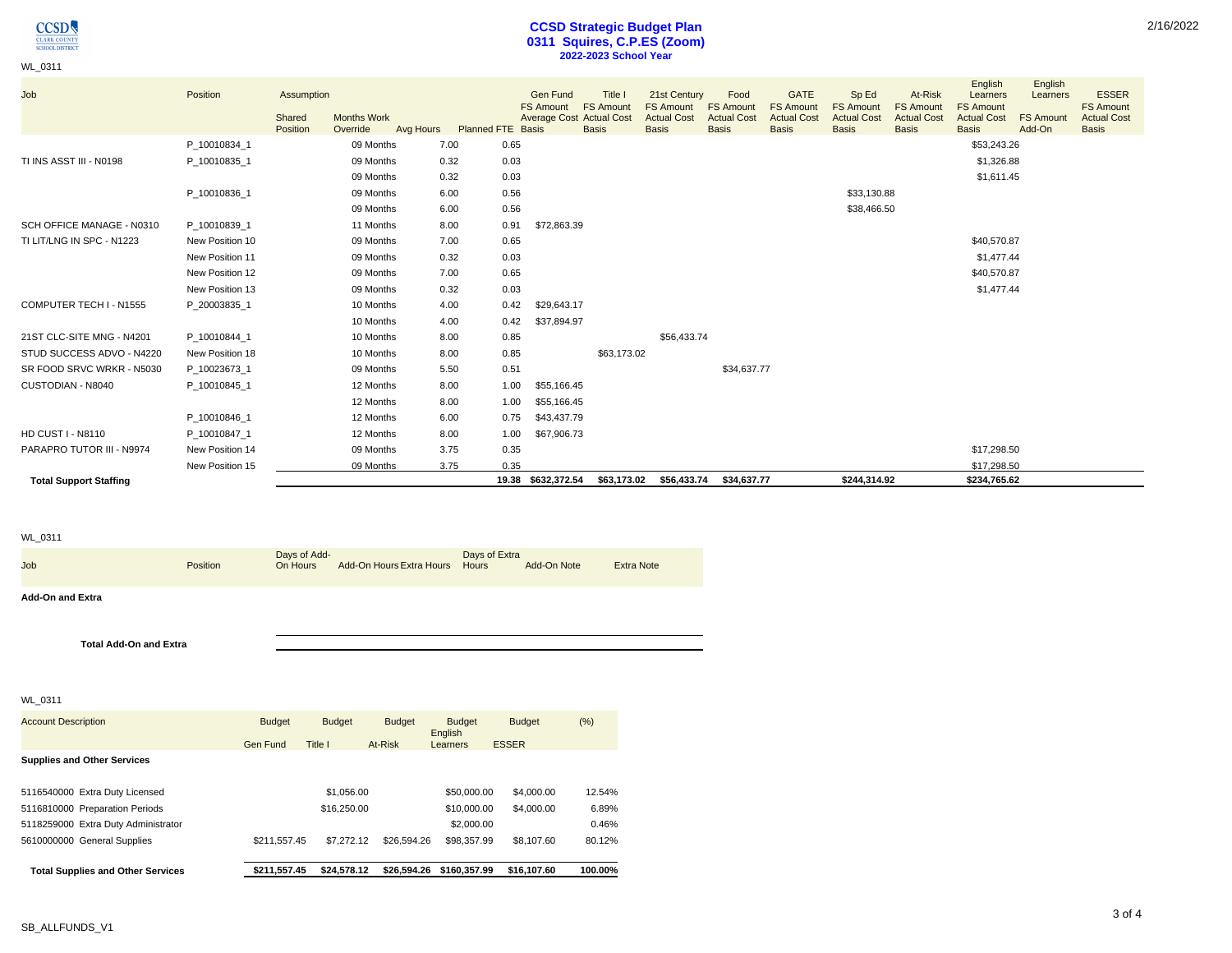

### WL\_0311

# **CCSD Strategic Budget Plan 0311 Squires, C.P.ES (Zoom) 2022-2023 School Year**

| Job                           | Position        | Assumption<br>Shared<br>Position | <b>Months Work</b><br>Override | Avg Hours | <b>Planned FTE Basis</b> | Gen Fund<br><b>FS Amount</b><br><b>Average Cost Actual Cost</b> | Title I<br><b>FS Amount</b><br><b>Basis</b> | 21st Century<br><b>FS Amount</b><br><b>Actual Cost</b><br><b>Basis</b> | Food<br><b>FS Amount</b><br><b>Actual Cost</b><br><b>Basis</b> | <b>GATE</b><br><b>FS Amount</b><br><b>Actual Cost</b><br><b>Basis</b> | Sp Ed<br><b>FS Amount</b><br><b>Actual Cost</b><br><b>Basis</b> | At-Risk<br><b>FS Amount</b><br><b>Actual Cost</b><br><b>Basis</b> | English<br>Learners<br><b>FS Amount</b><br><b>Actual Cost</b><br><b>Basis</b> | English<br>Learners<br><b>FS Amount</b><br>Add-On | <b>ESSER</b><br><b>FS Amount</b><br><b>Actual Cost</b><br><b>Basis</b> |
|-------------------------------|-----------------|----------------------------------|--------------------------------|-----------|--------------------------|-----------------------------------------------------------------|---------------------------------------------|------------------------------------------------------------------------|----------------------------------------------------------------|-----------------------------------------------------------------------|-----------------------------------------------------------------|-------------------------------------------------------------------|-------------------------------------------------------------------------------|---------------------------------------------------|------------------------------------------------------------------------|
|                               | P 10010834 1    |                                  | 09 Months                      | 7.00      | 0.65                     |                                                                 |                                             |                                                                        |                                                                |                                                                       |                                                                 |                                                                   | \$53,243.26                                                                   |                                                   |                                                                        |
| TI INS ASST III - N0198       | P 10010835 1    |                                  | 09 Months                      | 0.32      | 0.03                     |                                                                 |                                             |                                                                        |                                                                |                                                                       |                                                                 |                                                                   | \$1,326.88                                                                    |                                                   |                                                                        |
|                               |                 |                                  | 09 Months                      | 0.32      | 0.03                     |                                                                 |                                             |                                                                        |                                                                |                                                                       |                                                                 |                                                                   | \$1,611.45                                                                    |                                                   |                                                                        |
|                               | P_10010836_1    |                                  | 09 Months                      | 6.00      | 0.56                     |                                                                 |                                             |                                                                        |                                                                |                                                                       | \$33,130.88                                                     |                                                                   |                                                                               |                                                   |                                                                        |
|                               |                 |                                  | 09 Months                      | 6.00      | 0.56                     |                                                                 |                                             |                                                                        |                                                                |                                                                       | \$38,466.50                                                     |                                                                   |                                                                               |                                                   |                                                                        |
| SCH OFFICE MANAGE - N0310     | P_10010839_1    |                                  | 11 Months                      | 8.00      | 0.91                     | \$72,863.39                                                     |                                             |                                                                        |                                                                |                                                                       |                                                                 |                                                                   |                                                                               |                                                   |                                                                        |
| TI LIT/LNG IN SPC - N1223     | New Position 10 |                                  | 09 Months                      | 7.00      | 0.65                     |                                                                 |                                             |                                                                        |                                                                |                                                                       |                                                                 |                                                                   | \$40,570.87                                                                   |                                                   |                                                                        |
|                               | New Position 11 |                                  | 09 Months                      | 0.32      | 0.03                     |                                                                 |                                             |                                                                        |                                                                |                                                                       |                                                                 |                                                                   | \$1,477.44                                                                    |                                                   |                                                                        |
|                               | New Position 12 |                                  | 09 Months                      | 7.00      | 0.65                     |                                                                 |                                             |                                                                        |                                                                |                                                                       |                                                                 |                                                                   | \$40,570.87                                                                   |                                                   |                                                                        |
|                               | New Position 13 |                                  | 09 Months                      | 0.32      | 0.03                     |                                                                 |                                             |                                                                        |                                                                |                                                                       |                                                                 |                                                                   | \$1,477.44                                                                    |                                                   |                                                                        |
| COMPUTER TECH I - N1555       | P 20003835 1    |                                  | 10 Months                      | 4.00      | 0.42                     | \$29,643.17                                                     |                                             |                                                                        |                                                                |                                                                       |                                                                 |                                                                   |                                                                               |                                                   |                                                                        |
|                               |                 |                                  | 10 Months                      | 4.00      | 0.42                     | \$37,894.97                                                     |                                             |                                                                        |                                                                |                                                                       |                                                                 |                                                                   |                                                                               |                                                   |                                                                        |
| 21ST CLC-SITE MNG - N4201     | P 10010844 1    |                                  | 10 Months                      | 8.00      | 0.85                     |                                                                 |                                             | \$56,433.74                                                            |                                                                |                                                                       |                                                                 |                                                                   |                                                                               |                                                   |                                                                        |
| STUD SUCCESS ADVO - N4220     | New Position 18 |                                  | 10 Months                      | 8.00      | 0.85                     |                                                                 | \$63,173.02                                 |                                                                        |                                                                |                                                                       |                                                                 |                                                                   |                                                                               |                                                   |                                                                        |
| SR FOOD SRVC WRKR - N5030     | P 10023673 1    |                                  | 09 Months                      | 5.50      | 0.51                     |                                                                 |                                             |                                                                        | \$34,637.77                                                    |                                                                       |                                                                 |                                                                   |                                                                               |                                                   |                                                                        |
| CUSTODIAN - N8040             | P 10010845 1    |                                  | 12 Months                      | 8.00      | 1.00                     | \$55,166.45                                                     |                                             |                                                                        |                                                                |                                                                       |                                                                 |                                                                   |                                                                               |                                                   |                                                                        |
|                               |                 |                                  | 12 Months                      | 8.00      | 1.00                     | \$55,166.45                                                     |                                             |                                                                        |                                                                |                                                                       |                                                                 |                                                                   |                                                                               |                                                   |                                                                        |
|                               | P 10010846 1    |                                  | 12 Months                      | 6.00      | 0.75                     | \$43,437.79                                                     |                                             |                                                                        |                                                                |                                                                       |                                                                 |                                                                   |                                                                               |                                                   |                                                                        |
| <b>HD CUST I - N8110</b>      | P 10010847 1    |                                  | 12 Months                      | 8.00      | 1.00                     | \$67,906.73                                                     |                                             |                                                                        |                                                                |                                                                       |                                                                 |                                                                   |                                                                               |                                                   |                                                                        |
| PARAPRO TUTOR III - N9974     | New Position 14 |                                  | 09 Months                      | 3.75      | 0.35                     |                                                                 |                                             |                                                                        |                                                                |                                                                       |                                                                 |                                                                   | \$17,298.50                                                                   |                                                   |                                                                        |
|                               | New Position 15 |                                  | 09 Months                      | 3.75      | 0.35                     |                                                                 |                                             |                                                                        |                                                                |                                                                       |                                                                 |                                                                   | \$17,298.50                                                                   |                                                   |                                                                        |
| <b>Total Support Staffing</b> |                 |                                  |                                |           |                          | 19.38 \$632,372.54                                              |                                             | \$63,173.02 \$56,433.74                                                | \$34,637.77                                                    |                                                                       | \$244.314.92                                                    |                                                                   | \$234,765.62                                                                  |                                                   |                                                                        |

### WL\_0311

| Job                           | Position | Days of Add-<br>On Hours | Add-On Hours Extra Hours Hours | Days of Extra | Add-On Note | <b>Extra Note</b> |
|-------------------------------|----------|--------------------------|--------------------------------|---------------|-------------|-------------------|
| <b>Add-On and Extra</b>       |          |                          |                                |               |             |                   |
| <b>Total Add-On and Extra</b> |          |                          |                                |               |             |                   |

### WL\_0311

| <b>Total Supplies and Other Services</b> | \$211.557.45  | \$24.578.12   | \$26,594.26   | \$160,357.99        | \$16,107.60   | 100.00% |
|------------------------------------------|---------------|---------------|---------------|---------------------|---------------|---------|
| 5610000000 General Supplies              | \$211.557.45  | \$7,272.12    | \$26,594.26   | \$98,357.99         | \$8,107.60    | 80.12%  |
| 5118259000 Extra Duty Administrator      |               |               |               | \$2,000.00          |               | 0.46%   |
| 5116810000 Preparation Periods           |               | \$16,250.00   |               | \$10,000.00         | \$4,000.00    | 6.89%   |
| 5116540000 Extra Duty Licensed           |               | \$1.056.00    |               | \$50,000.00         | \$4,000.00    | 12.54%  |
| <b>Supplies and Other Services</b>       |               |               |               |                     |               |         |
|                                          | Gen Fund      | Title I       | At-Risk       | English<br>Learners | <b>ESSER</b>  |         |
| <b>Account Description</b>               | <b>Budget</b> | <b>Budget</b> | <b>Budget</b> | <b>Budget</b>       | <b>Budget</b> | (% )    |
|                                          |               |               |               |                     |               |         |